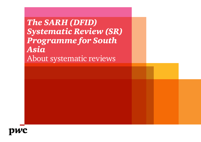*The SARH (DFID) Systematic Review (SR) Programme for South Asia* About systematic reviews

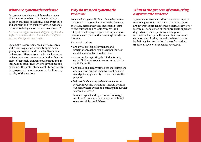### *What are systematic reviews?*

"A systematic review is a high-level overview of primary research on a particular research question that tries to identify, select, synthesise and appraise all high-quality research evidence relevant to that question in order to answer it."

*A L Cochrane; Effectiveness and Efficiency: Random Reflections on Health Services. London: Nuffield Provincial Hospitals Trust, 1972.*

Systematic review teams seek all the research addressing a question, critically appraise its quality and synthesise the results. Systematic reviews are different from traditional literature reviews or expert commentaries in that they are pieces of research–transparent, rigorous and, in theory, replicable. They involve developing and publishing the protocol and carefully documenting the progress of the review in order to allow easy scrutiny of the methods.

## *Why do we need systematic reviews?*

Policymakers generally do not have the time to look for all the research to inform the decisions they face. Instead they rely on research teams to find relevant and reliable research, and integrate the findings to give a clearer and more comprehensive picture than any single study can produce.

Systematic reviews:

- are a vital tool for policymakers and practitioners as they bring together the best available research and reduce bias
- are useful for capturing the hidden trends, contradictions or concurrences present in the available studies
- are based on a clearly stated set of assumptions and selection criteria, thereby enabling users to judge the applicability of the reviews to their purpose
- help establish not only what is known from research; but also what is not known, pointing out areas where evidence is missing and further research is needed
- have an explicit and rigorous methodology, resulting in reviews that are accountable and open to criticism and debate.

# *What is the process of conducting a systematic review?*

Systematic reviews can address a diverse range of research questions. Like primary research, there are different approaches to the systematic review of research. The selection of the appropriate approach depends on review questions, assumptions, methods and answers. However, there are some common steps in all systematic reviews that are its defining features and set it apart from other traditional reviews or secondary research.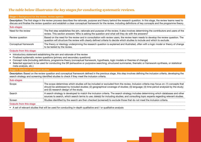### *The table below illustrates the key stages for conducting systematic reviews.*

### Stage I: Background for the review, review agenda

Description: The first stage in the review process describes the rationale, purpose and theory behind the research question. In this stage, the review teams need to discuss and finalise the review question and establish a clear conceptual framework for the review, including definitions of key concepts and the programme theory.

| Sub-stages           |                                                                                                                                                                                                                                                                |
|----------------------|----------------------------------------------------------------------------------------------------------------------------------------------------------------------------------------------------------------------------------------------------------------|
| Need for the review  | The first step establishes the aim, rationale and purpose of the review. It also involves determining the contributors and users of the<br>i review. This section answers 'Who is asking the question and what will they do with the answers?                  |
| Review question      | Based on the need for the review and in consultation with review users, the review team needs to develop the review question. The<br>question will structure the review with clearly defined criteria to decide which studies to include and which to exclude. |
| Conceptual framework | The theory or ideology underpinning the research question is explained and illustrated, often with a logic model or theory of change<br>to be tested by the review.                                                                                            |

#### Outputs from this stage:

- Introductory statement establishing the aim and rationale of the review
- Finalised systematic review questions (primary and secondary questions)
- Concept note (including definitions, programme theory (conceptual framework, hypothesis, logic models or theories of change)
- Selected approach to be used for conducting the SR (exhaustive or purposive searching; structured summaries, thematic or framework synthesis, or statistical meta-analysis, etc.)

### Stage II: Selection of relevant studies

Description: Based on the review question and conceptual framework defined in the previous stage, this step involves defining the inclusion criteria, developing the search strategy and screening identified studies to check if they meet the inclusion criteria.

| Sub-stages              |                                                                                                                                                                                                                                                                                                                                   |
|-------------------------|-----------------------------------------------------------------------------------------------------------------------------------------------------------------------------------------------------------------------------------------------------------------------------------------------------------------------------------|
| Scope                   | The scope determines which studies will be included or excluded from the review. Inclusion criteria may focus on: (1) concepts that<br>should be addressed by included studies; (2) geographical coverage of studies; (3) language; (4) time period analysed by the study;<br>$\frac{1}{2}$ and (5) research design of the study. |
| Search                  | A search strategy is developed to match the inclusion criteria. The search strategy includes determining which databases and other<br>sources to search, which search terms to use; date(s) for including studies; and consulting topic experts regarding relevant studies.                                                       |
| Screen                  | : Studies identified by the search are then checked (screened) to exclude those that do not meet the inclusion criteria.                                                                                                                                                                                                          |
| Outputs from this stage |                                                                                                                                                                                                                                                                                                                                   |

• A set of relevant studies that will be used for conducting in-depth qualitative and / or qualitative analysis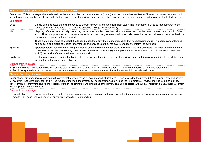#### Stage III: Mapping, appraisal and synthesis of relevant studies

Description: This is the stage where selected studies are described in consistent terms (coded), mapped on the basis of fields of interest, appraised for their quality and relevance and synthesised to integrate findings and answer the review question. Thus, this stage involves in-depth analysis and appraisal of selected studies.

| Sub-stages |                                                                                                                                                                                                                                                                                                                                                  |
|------------|--------------------------------------------------------------------------------------------------------------------------------------------------------------------------------------------------------------------------------------------------------------------------------------------------------------------------------------------------|
| Code       | Details of the selected studies are coded to extract relevant information from each study. This information is used to map research fields,<br>assess quality and relevance of studies and describe findings from each study.                                                                                                                    |
| Map        | Mapping refers to systematically describing the included studies based on fields of interest, and can be based on any characteristic of the<br>study. Thus, mapping may describe names of authors, the country where a study was undertaken, the conceptual assumptions involved, the<br>sample and research methods applied.                    |
|            | These systematic maps of research fields can be used to clarify the nature of research that has been undertaken in a particular context; can<br>help select a sub-group of studies for synthesis; and provide useful contextual information to inform the synthesis.                                                                             |
| Appraise   | Appraisal determines how much weight is placed on the evidence of each study included in the final synthesis. The three key components<br>to the assessment are (1) the study's relevance to the review question, (2) the appropriateness of its methods in the context of the review,<br>and (3) the quality of the execution of these methods. |
| Synthesis  | It is the process of integrating the findings from the included studies to answer the review question. It involves examining the available data,<br>looking for patterns and interpreting them.                                                                                                                                                  |

#### Outputs from this stage:

• Systematic map of research fields for included studies: This can be used to draw inferences about the nature of the research in the selected theme.

• Results of synthesis which will, most likely, answer the review question or present the need for further research in the selected theme

#### Stage IV: Reporting of a review

Description: This stage involves preparing the systematic review report or document which includes (1) background to the review, (2) its aims (and potential users); (3) review methods (the protocol), and (4) the results of the map and synthesis. The report may also include the implications of review findings for policymaking, development programming and future research. Further, the strengths and limitations of the review can also be stated with a clear indication on how these will affect the interpretation of the findings.

#### Outputs from this stage

• Report of systematic review in different formats: Summary report (one-page summary or three-page extended summary or one-to two-page summary); 25-page report; 100+-page technical report or appendix; access to all data coding